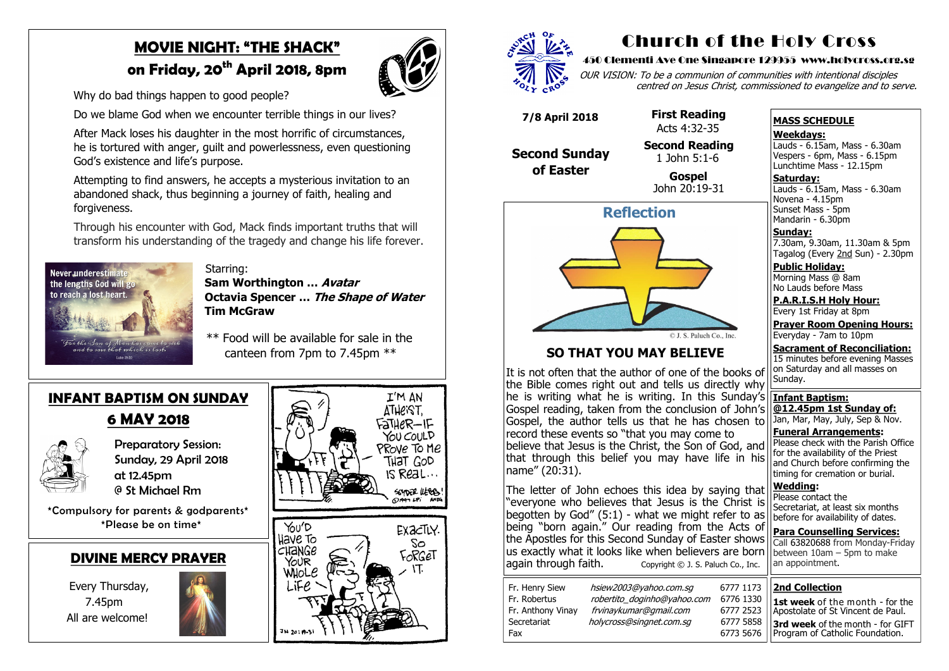# **MOVIE NIGHT: "THE SHACK"**

# **on Friday, 20th April 2018, 8pm**

Why do bad things happen to good people?

Do we blame God when we encounter terrible things in our lives?

 After Mack loses his daughter in the most horrific of circumstances, he is tortured with anger, guilt and powerlessness, even questioning God's existence and life's purpose.

 Attempting to find answers, he accepts a mysterious invitation to an abandoned shack, thus beginning a journey of faith, healing and forgiveness.

> **Preparatory Session:**  Sunday, 29 April 2018 at 12.45pm @ St Michael Rm

 Through his encounter with God, Mack finds important truths that will transform his understanding of the tragedy and change his life forever.



 Starring:  **Sam Worthington … Avatar Octavia Spencer … The Shape of Water Tim McGraw**

 \*\* Food will be available for sale in the canteen from 7pm to 7.45pm \*\*

**Saturday:** Lauds - 6.15am, Mass - 6.30am Novena - 4.15pm Sunset Mass - 5pm Mandarin - 6.30pm

#### **DIVINE MERCY PRAYER**

 Every Thursday, 7.45pm All are welcome!







#### **INFANT BAPTISM ON SUNDAY**

## **6 MAY 2018**



 \*Compulsory for parents & godparents\* \*Please be on time\*

# Church of the Holy Cross

#### 450 Clementi Ave One Singapore 129955 www.holycross.org.sg



**Wedding:**  Please contact the Secretariat, at least six months before for availability of dates. **Para Counselling Services:** Call [63820688](tel:+6563820688) from Monday-Friday between  $10$ am – 5pm to make an appointment. The letter of John echoes this idea by saying that "everyone who believes that Jesus is the Christ is begotten by God"  $(5:1)$  - what we might refer to as being "born again." Our reading from the Acts of the Apostles for this Second Sunday of Easter shows us exactly what it looks like when believers are born again through faith.  $\frac{1}{2}$  Copyright © J. S. Paluch Co., Inc. Copyright  $\odot$  J. S. Paluch Co., Inc.

OUR VISION: To be a communion of communities with intentional disciples centred on Jesus Christ, commissioned to evangelize and to serve.

#### **MASS SCHEDULE**

**Weekdays:**

Lauds - 6.15am, Mass - 6.30am Vespers - 6pm, Mass - 6.15pm Lunchtime Mass - 12.15pm

**Sunday:** 7.30am, 9.30am, 11.30am & 5pm Tagalog (Every 2nd Sun) - 2.30pm

**Public Holiday:**  Morning Mass @ 8am No Lauds before Mass

**P.A.R.I.S.H Holy Hour:** Every 1st Friday at 8pm

**Prayer Room Opening Hours:** Everyday - 7am to 10pm

**Sacrament of Reconciliation:** 15 minutes before evening Masses

on Saturday and all masses on Sunday. **Infant Baptism: @12.45pm 1st Sunday of:** Jan, Mar, May, July, Sep & Nov. **Funeral Arrangements:**  Please check with the Parish Office for the availability of the Priest and Church before confirming the timing for cremation or burial. It is not often that the author of one of the books of the Bible comes right out and tells us directly why  $\left| \text{he is writing what he is writing. In this Sunday's} \right|$ Gospel reading, taken from the conclusion of John's Gospel, the author tells us that he has chosen to record these events so "that you may come to believe that Jesus is the Christ, the Son of God, and that through this belief you may have life in his name" (20:31).



#### **SO THAT YOU MAY BELIEVE**

 **7/8 April 2018**

#### **Second Sunday of Easter**

 **First Reading**  Acts 4:32-35 **Second Reading** 1 John 5:1-6

 **Gospel** John 20:19-31

#### **2nd Collection**

**1st week** of the month - for the Apostolate of St Vincent de Paul.

**3rd week** of the month - for GIFT Program of Catholic Foundation.